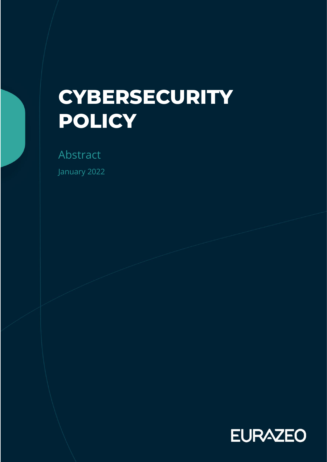# **CYBERSECURITY POLICY**

Abstract

January 2022

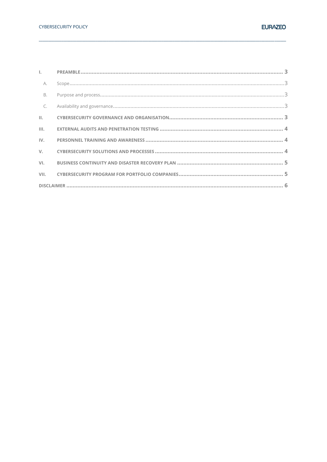| A.   |  |
|------|--|
| B.   |  |
| C.   |  |
|      |  |
| III. |  |
|      |  |
|      |  |
|      |  |
|      |  |
|      |  |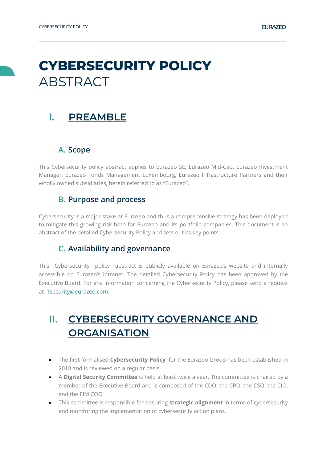## **CYBERSECURITY POLICY ABSTRACT**

#### <span id="page-2-0"></span>**I. PREAMBLE**

#### <span id="page-2-1"></span>**A. Scope**

This Cybersecurity policy abstract applies to Eurazeo SE, Eurazeo Mid-Cap, Eurazeo Investment Manager, Eurazeo Funds Management Luxembourg, Eurazeo Infrastructure Partners and their wholly owned subsidiaries, herein referred to as "Eurazeo".

**\_\_\_\_\_\_\_\_\_\_\_\_\_\_\_\_\_\_\_\_\_\_\_\_\_\_\_\_\_\_\_\_\_\_\_\_\_\_\_\_\_\_\_\_\_\_\_\_\_\_\_\_\_\_\_\_\_\_\_\_\_\_\_\_\_\_\_\_\_\_\_\_\_\_\_\_\_\_\_\_\_\_\_\_\_\_\_\_\_\_\_\_\_\_\_\_\_\_\_\_\_\_\_\_\_\_\_\_\_\_\_\_\_\_\_\_\_\_\_\_\_\_\_\_\_\_\_\_\_\_\_**

#### **B. Purpose and process**

<span id="page-2-2"></span>Cybersecurity is a major stake at Eurazeo and thus a comprehensive strategy has been deployed to mitigate this growing risk both for Eurazeo and its portfolio companies. This document is an abstract of the detailed Cybersecurity Policy and sets out its key points.

#### **C. Availability and governance**

<span id="page-2-3"></span>This Cybersecurity policy abstract is publicly available on Eurazeo's website and internally accessible on Eurazeo's intranet. The detailed Cybersecurity Policy has been approved by the Executive Board. For any information concerning the Cybersecurity Policy, please send a request at [ITsecurity@eurazeo.com.](mailto:ITsecurity@eurazeo.com)

## <span id="page-2-4"></span>**II. CYBERSECURITY GOVERNANCE AND ORGANISATION**

- The first formalised **Cybersecurity Policy** for the Eurazeo Group has been established in 2018 and is reviewed on a regular basis.
- A **Digital Security Committee** is held at least twice a year. The committee is chaired by a member of the Executive Board and is composed of the CDO, the CRO, the CSO, the CIO, and the EIM COO.
- This committee is responsible for ensuring **strategic alignment** in terms of cybersecurity and monitoring the implementation of cybersecurity action plans.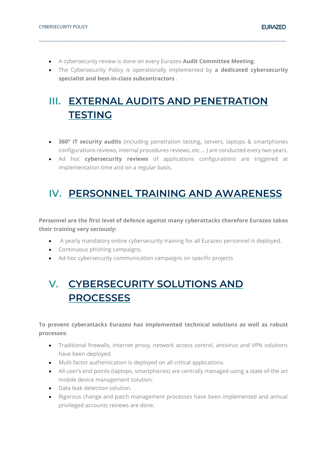- A cybersecurity review is done on every Eurazeo **Audit Committee Meeting**.
- The Cybersecurity Policy is operationally implemented by **a dedicated cybersecurity specialist and best-in-class subcontractors** .

**\_\_\_\_\_\_\_\_\_\_\_\_\_\_\_\_\_\_\_\_\_\_\_\_\_\_\_\_\_\_\_\_\_\_\_\_\_\_\_\_\_\_\_\_\_\_\_\_\_\_\_\_\_\_\_\_\_\_\_\_\_\_\_\_\_\_\_\_\_\_\_\_\_\_\_\_\_\_\_\_\_\_\_\_\_\_\_\_\_\_\_\_\_\_\_\_\_\_\_\_\_\_\_\_\_\_\_\_\_\_\_\_\_\_\_\_\_\_\_\_\_\_\_\_\_\_\_\_\_\_\_**

## <span id="page-3-0"></span>**III. EXTERNAL AUDITS AND PENETRATION TESTING**

- **360° IT security audits** (including penetration testing, servers, laptops & smartphones configurations reviews, internal procedures reviews, etc … ) are conducted every two years.
- Ad hoc **cybersecurity reviews** of applications configurations are triggered at implementation time and on a regular basis.

#### <span id="page-3-1"></span>**IV. PERSONNEL TRAINING AND AWARENESS**

**Personnel are the first level of defence against many cyberattacks therefore Eurazeo takes their training very seriously:**

- A yearly mandatory online cybersecurity training for all Eurazeo personnel is deployed.
- Continuous phishing campaigns.
- Ad-hoc cybersecurity communication campaigns on specific projects

## <span id="page-3-2"></span>**V. CYBERSECURITY SOLUTIONS AND PROCESSES**

#### **To prevent cyberattacks Eurazeo has implemented technical solutions as well as robust processes:**

- Traditional firewalls, internet proxy, network access control, antivirus and VPN solutions have been deployed.
- Multi factor authentication is deployed on all critical applications.
- All user's end points (laptops, smartphones) are centrally managed using a state of-the art mobile device management solution.
- Data leak detection solution.
- Rigorous change and patch management processes have been implemented and annual privileged accounts reviews are done.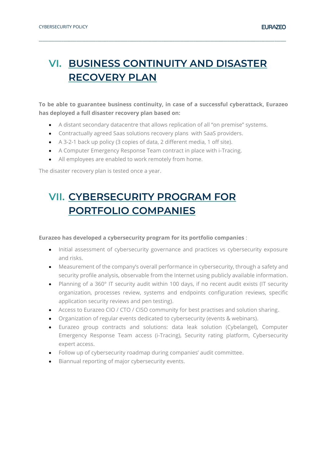## <span id="page-4-0"></span>**VI. BUSINESS CONTINUITY AND DISASTER RECOVERY PLAN**

**\_\_\_\_\_\_\_\_\_\_\_\_\_\_\_\_\_\_\_\_\_\_\_\_\_\_\_\_\_\_\_\_\_\_\_\_\_\_\_\_\_\_\_\_\_\_\_\_\_\_\_\_\_\_\_\_\_\_\_\_\_\_\_\_\_\_\_\_\_\_\_\_\_\_\_\_\_\_\_\_\_\_\_\_\_\_\_\_\_\_\_\_\_\_\_\_\_\_\_\_\_\_\_\_\_\_\_\_\_\_\_\_\_\_\_\_\_\_\_\_\_\_\_\_\_\_\_\_\_\_\_**

**To be able to guarantee business continuity, in case of a successful cyberattack, Eurazeo has deployed a full disaster recovery plan based on:**

- A distant secondary datacentre that allows replication of all "on premise" systems.
- Contractually agreed Saas solutions recovery plans with SaaS providers.
- A 3-2-1 back up policy (3 copies of data, 2 different media, 1 off site).
- A Computer Emergency Response Team contract in place with i-Tracing.
- All employees are enabled to work remotely from home.

The disaster recovery plan is tested once a year.

## <span id="page-4-1"></span>**VII. CYBERSECURITY PROGRAM FOR PORTFOLIO COMPANIES**

#### **Eurazeo has developed a cybersecurity program for its portfolio companies** :

- Initial assessment of cybersecurity governance and practices vs cybersecurity exposure and risks.
- Measurement of the company's overall performance in cybersecurity, through a safety and security profile analysis, observable from the Internet using publicly available information.
- Planning of a 360° IT security audit within 100 days, if no recent audit exists (IT security organization, processes review, systems and endpoints configuration reviews, specific application security reviews and pen testing).
- Access to Eurazeo CIO / CTO / CISO community for best practises and solution sharing.
- Organization of regular events dedicated to cybersecurity (events & webinars).
- Eurazeo group contracts and solutions: data leak solution (Cybelangel), Computer Emergency Response Team access (i-Tracing), Security rating platform, Cybersecurity expert access.
- Follow up of cybersecurity roadmap during companies' audit committee.
- Biannual reporting of major cybersecurity events.